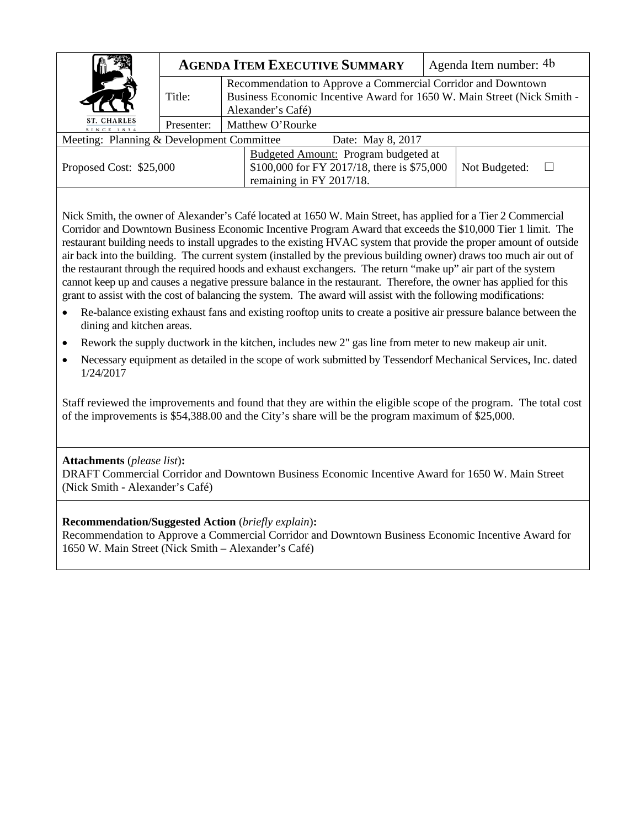|                                                                | <b>AGENDA ITEM EXECUTIVE SUMMARY</b> |                                                                                                                                                              | Agenda Item number: 4b |  |  |  |
|----------------------------------------------------------------|--------------------------------------|--------------------------------------------------------------------------------------------------------------------------------------------------------------|------------------------|--|--|--|
|                                                                | Title:                               | Recommendation to Approve a Commercial Corridor and Downtown<br>Business Economic Incentive Award for 1650 W. Main Street (Nick Smith -<br>Alexander's Café) |                        |  |  |  |
| ST. CHARLES<br>SINCE 1834                                      | Presenter:                           | Matthew O'Rourke                                                                                                                                             |                        |  |  |  |
| Meeting: Planning & Development Committee<br>Date: May 8, 2017 |                                      |                                                                                                                                                              |                        |  |  |  |
| Proposed Cost: \$25,000                                        |                                      | Budgeted Amount: Program budgeted at<br>\$100,000 for FY 2017/18, there is \$75,000<br>remaining in FY 2017/18.                                              | Not Budgeted:          |  |  |  |

Nick Smith, the owner of Alexander's Café located at 1650 W. Main Street, has applied for a Tier 2 Commercial Corridor and Downtown Business Economic Incentive Program Award that exceeds the \$10,000 Tier 1 limit. The restaurant building needs to install upgrades to the existing HVAC system that provide the proper amount of outside air back into the building. The current system (installed by the previous building owner) draws too much air out of the restaurant through the required hoods and exhaust exchangers. The return "make up" air part of the system cannot keep up and causes a negative pressure balance in the restaurant. Therefore, the owner has applied for this grant to assist with the cost of balancing the system. The award will assist with the following modifications:

- Re-balance existing exhaust fans and existing rooftop units to create a positive air pressure balance between the dining and kitchen areas.
- Rework the supply ductwork in the kitchen, includes new 2" gas line from meter to new makeup air unit.
- Necessary equipment as detailed in the scope of work submitted by Tessendorf Mechanical Services, Inc. dated 1/24/2017

Staff reviewed the improvements and found that they are within the eligible scope of the program. The total cost of the improvements is \$54,388.00 and the City's share will be the program maximum of \$25,000.

## **Attachments** (*please list*)**:**

DRAFT Commercial Corridor and Downtown Business Economic Incentive Award for 1650 W. Main Street (Nick Smith - Alexander's Café)

## **Recommendation/Suggested Action** (*briefly explain*)**:**

Recommendation to Approve a Commercial Corridor and Downtown Business Economic Incentive Award for 1650 W. Main Street (Nick Smith – Alexander's Café)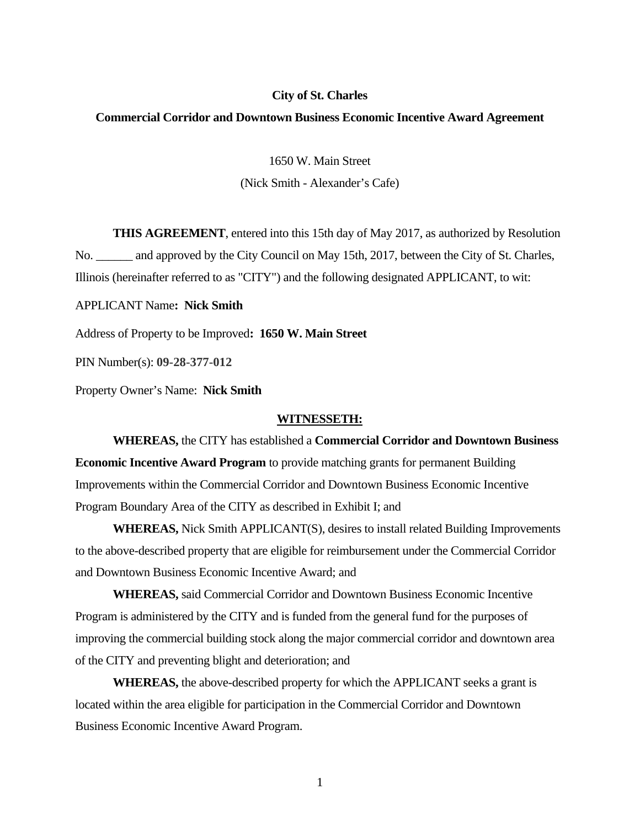#### **City of St. Charles**

### **Commercial Corridor and Downtown Business Economic Incentive Award Agreement**

1650 W. Main Street (Nick Smith - Alexander's Cafe)

**THIS AGREEMENT**, entered into this 15th day of May 2017, as authorized by Resolution No. \_\_\_\_\_\_ and approved by the City Council on May 15th, 2017, between the City of St. Charles, Illinois (hereinafter referred to as "CITY") and the following designated APPLICANT, to wit:

APPLICANT Name**: Nick Smith**

Address of Property to be Improved**: 1650 W. Main Street** 

PIN Number(s): **09-28-377-012**

Property Owner's Name: **Nick Smith**

#### **WITNESSETH:**

 **WHEREAS,** the CITY has established a **Commercial Corridor and Downtown Business Economic Incentive Award Program** to provide matching grants for permanent Building Improvements within the Commercial Corridor and Downtown Business Economic Incentive Program Boundary Area of the CITY as described in Exhibit I; and

**WHEREAS,** Nick Smith APPLICANT(S), desires to install related Building Improvements to the above-described property that are eligible for reimbursement under the Commercial Corridor and Downtown Business Economic Incentive Award; and

 **WHEREAS,** said Commercial Corridor and Downtown Business Economic Incentive Program is administered by the CITY and is funded from the general fund for the purposes of improving the commercial building stock along the major commercial corridor and downtown area of the CITY and preventing blight and deterioration; and

 **WHEREAS,** the above-described property for which the APPLICANT seeks a grant is located within the area eligible for participation in the Commercial Corridor and Downtown Business Economic Incentive Award Program.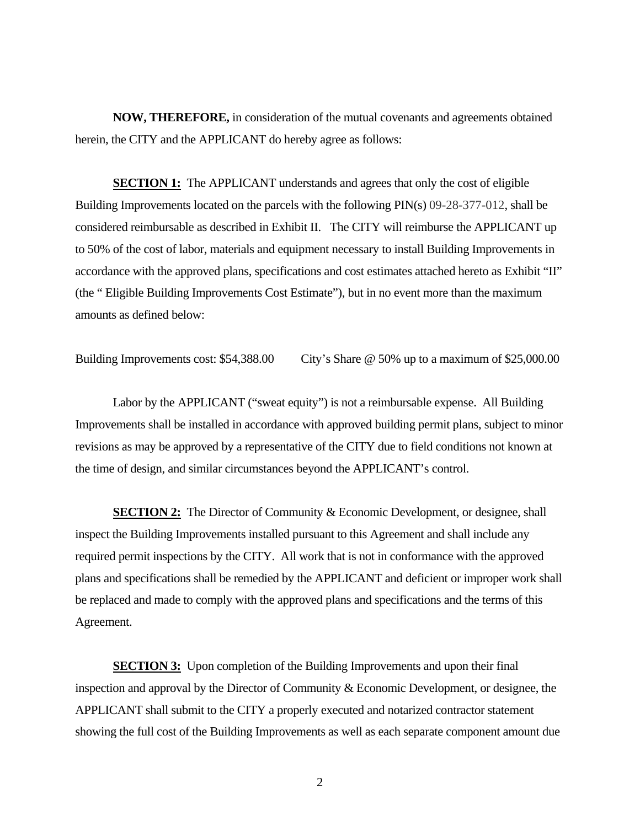**NOW, THEREFORE,** in consideration of the mutual covenants and agreements obtained herein, the CITY and the APPLICANT do hereby agree as follows:

**SECTION 1:** The APPLICANT understands and agrees that only the cost of eligible Building Improvements located on the parcels with the following PIN(s) 09-28-377-012, shall be considered reimbursable as described in Exhibit II. The CITY will reimburse the APPLICANT up to 50% of the cost of labor, materials and equipment necessary to install Building Improvements in accordance with the approved plans, specifications and cost estimates attached hereto as Exhibit "II" (the " Eligible Building Improvements Cost Estimate"), but in no event more than the maximum amounts as defined below:

Building Improvements cost: \$54,388.00 City's Share @ 50% up to a maximum of \$25,000.00

 Labor by the APPLICANT ("sweat equity") is not a reimbursable expense. All Building Improvements shall be installed in accordance with approved building permit plans, subject to minor revisions as may be approved by a representative of the CITY due to field conditions not known at the time of design, and similar circumstances beyond the APPLICANT's control.

**SECTION 2:** The Director of Community & Economic Development, or designee, shall inspect the Building Improvements installed pursuant to this Agreement and shall include any required permit inspections by the CITY. All work that is not in conformance with the approved plans and specifications shall be remedied by the APPLICANT and deficient or improper work shall be replaced and made to comply with the approved plans and specifications and the terms of this Agreement.

**SECTION 3:** Upon completion of the Building Improvements and upon their final inspection and approval by the Director of Community & Economic Development, or designee, the APPLICANT shall submit to the CITY a properly executed and notarized contractor statement showing the full cost of the Building Improvements as well as each separate component amount due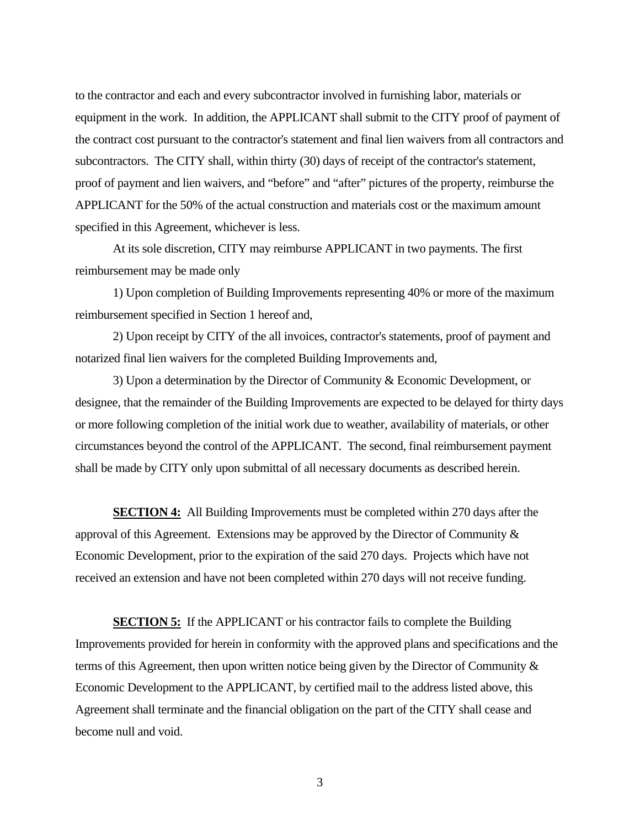to the contractor and each and every subcontractor involved in furnishing labor, materials or equipment in the work. In addition, the APPLICANT shall submit to the CITY proof of payment of the contract cost pursuant to the contractor's statement and final lien waivers from all contractors and subcontractors. The CITY shall, within thirty (30) days of receipt of the contractor's statement, proof of payment and lien waivers, and "before" and "after" pictures of the property, reimburse the APPLICANT for the 50% of the actual construction and materials cost or the maximum amount specified in this Agreement, whichever is less.

 At its sole discretion, CITY may reimburse APPLICANT in two payments. The first reimbursement may be made only

 1) Upon completion of Building Improvements representing 40% or more of the maximum reimbursement specified in Section 1 hereof and,

 2) Upon receipt by CITY of the all invoices, contractor's statements, proof of payment and notarized final lien waivers for the completed Building Improvements and,

 3) Upon a determination by the Director of Community & Economic Development, or designee, that the remainder of the Building Improvements are expected to be delayed for thirty days or more following completion of the initial work due to weather, availability of materials, or other circumstances beyond the control of the APPLICANT. The second, final reimbursement payment shall be made by CITY only upon submittal of all necessary documents as described herein.

**SECTION 4:** All Building Improvements must be completed within 270 days after the approval of this Agreement. Extensions may be approved by the Director of Community & Economic Development, prior to the expiration of the said 270 days. Projects which have not received an extension and have not been completed within 270 days will not receive funding.

**SECTION 5:** If the APPLICANT or his contractor fails to complete the Building Improvements provided for herein in conformity with the approved plans and specifications and the terms of this Agreement, then upon written notice being given by the Director of Community & Economic Development to the APPLICANT, by certified mail to the address listed above, this Agreement shall terminate and the financial obligation on the part of the CITY shall cease and become null and void.

3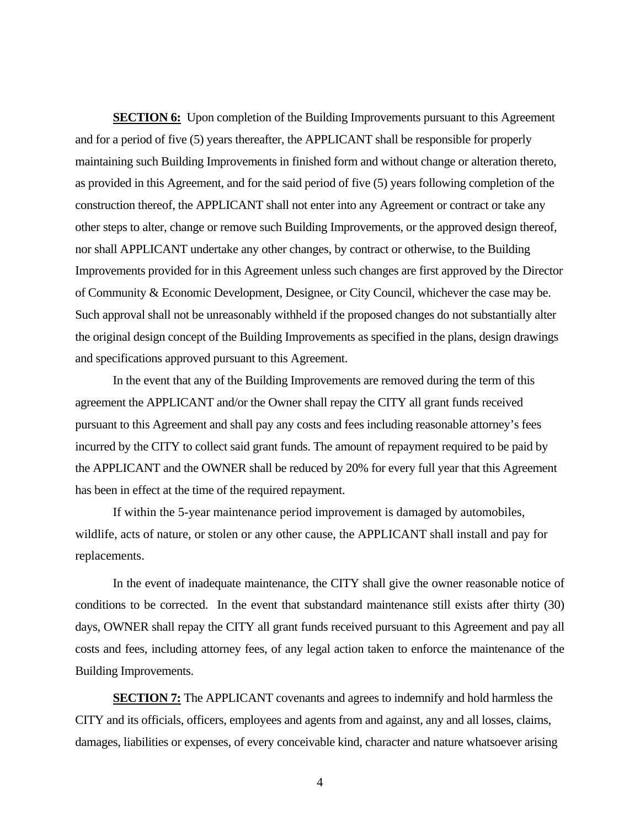**SECTION 6:** Upon completion of the Building Improvements pursuant to this Agreement and for a period of five (5) years thereafter, the APPLICANT shall be responsible for properly maintaining such Building Improvements in finished form and without change or alteration thereto, as provided in this Agreement, and for the said period of five (5) years following completion of the construction thereof, the APPLICANT shall not enter into any Agreement or contract or take any other steps to alter, change or remove such Building Improvements, or the approved design thereof, nor shall APPLICANT undertake any other changes, by contract or otherwise, to the Building Improvements provided for in this Agreement unless such changes are first approved by the Director of Community & Economic Development, Designee, or City Council, whichever the case may be. Such approval shall not be unreasonably withheld if the proposed changes do not substantially alter the original design concept of the Building Improvements as specified in the plans, design drawings and specifications approved pursuant to this Agreement.

 In the event that any of the Building Improvements are removed during the term of this agreement the APPLICANT and/or the Owner shall repay the CITY all grant funds received pursuant to this Agreement and shall pay any costs and fees including reasonable attorney's fees incurred by the CITY to collect said grant funds. The amount of repayment required to be paid by the APPLICANT and the OWNER shall be reduced by 20% for every full year that this Agreement has been in effect at the time of the required repayment.

 If within the 5-year maintenance period improvement is damaged by automobiles, wildlife, acts of nature, or stolen or any other cause, the APPLICANT shall install and pay for replacements.

In the event of inadequate maintenance, the CITY shall give the owner reasonable notice of conditions to be corrected. In the event that substandard maintenance still exists after thirty (30) days, OWNER shall repay the CITY all grant funds received pursuant to this Agreement and pay all costs and fees, including attorney fees, of any legal action taken to enforce the maintenance of the Building Improvements.

**SECTION 7:** The APPLICANT covenants and agrees to indemnify and hold harmless the CITY and its officials, officers, employees and agents from and against, any and all losses, claims, damages, liabilities or expenses, of every conceivable kind, character and nature whatsoever arising

4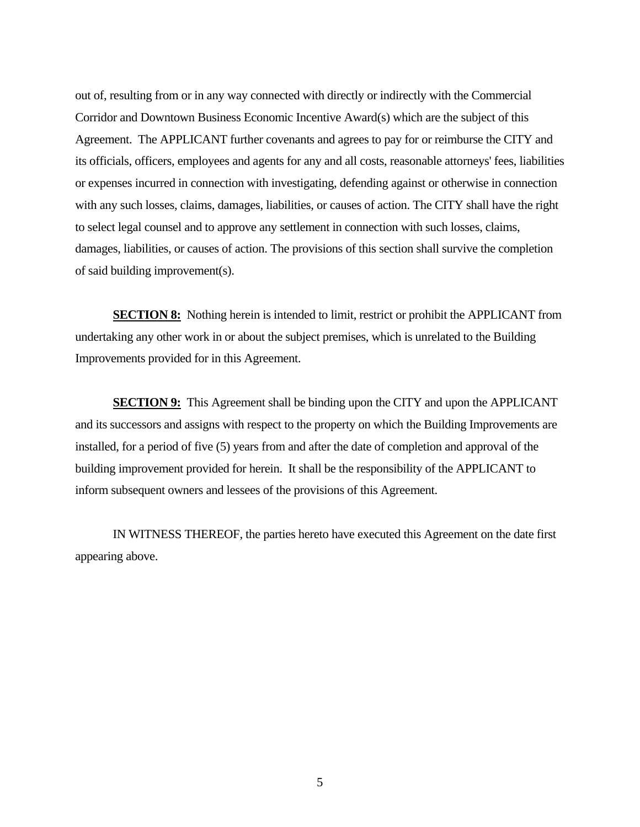out of, resulting from or in any way connected with directly or indirectly with the Commercial Corridor and Downtown Business Economic Incentive Award(s) which are the subject of this Agreement. The APPLICANT further covenants and agrees to pay for or reimburse the CITY and its officials, officers, employees and agents for any and all costs, reasonable attorneys' fees, liabilities or expenses incurred in connection with investigating, defending against or otherwise in connection with any such losses, claims, damages, liabilities, or causes of action. The CITY shall have the right to select legal counsel and to approve any settlement in connection with such losses, claims, damages, liabilities, or causes of action. The provisions of this section shall survive the completion of said building improvement(s).

**SECTION 8:** Nothing herein is intended to limit, restrict or prohibit the APPLICANT from undertaking any other work in or about the subject premises, which is unrelated to the Building Improvements provided for in this Agreement.

**SECTION 9:** This Agreement shall be binding upon the CITY and upon the APPLICANT and its successors and assigns with respect to the property on which the Building Improvements are installed, for a period of five (5) years from and after the date of completion and approval of the building improvement provided for herein. It shall be the responsibility of the APPLICANT to inform subsequent owners and lessees of the provisions of this Agreement.

 IN WITNESS THEREOF, the parties hereto have executed this Agreement on the date first appearing above.

5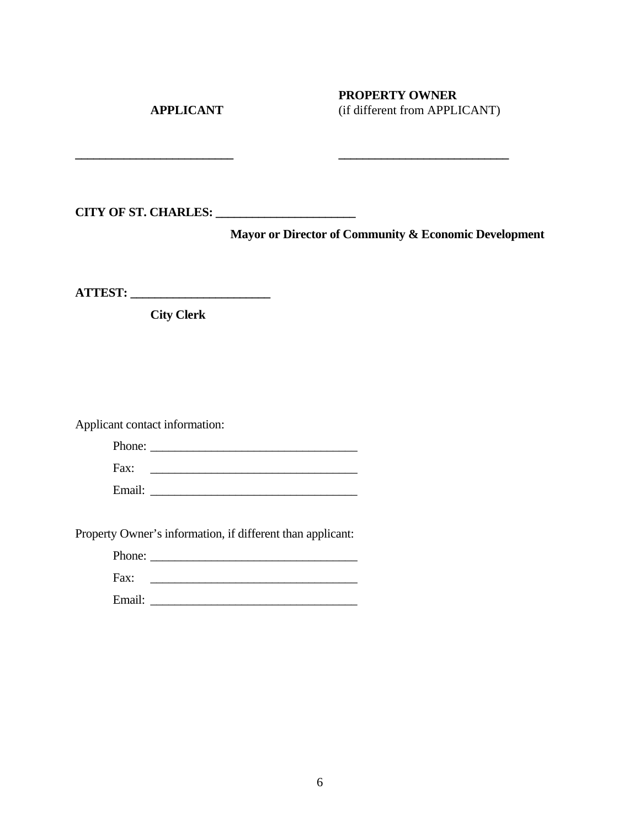## **PROPERTY OWNER APPLICANT** (if different from APPLICANT)

**CITY OF ST. CHARLES: \_\_\_\_\_\_\_\_\_\_\_\_\_\_\_\_\_\_\_\_\_\_\_** 

**\_\_\_\_\_\_\_\_\_\_\_\_\_\_\_\_\_\_\_\_\_\_\_\_\_\_ \_\_\_\_\_\_\_\_\_\_\_\_\_\_\_\_\_\_\_\_\_\_\_\_\_\_\_\_** 

**Mayor or Director of Community & Economic Development** 

**ATTEST: \_\_\_\_\_\_\_\_\_\_\_\_\_\_\_\_\_\_\_\_\_\_\_** 

 **City Clerk** 

Applicant contact information:

| Phone: |  |
|--------|--|
| Fax:   |  |
| Email: |  |

Property Owner's information, if different than applicant:

| $       -$ |  |
|------------|--|
|            |  |

| . .<br>$\sim$ $\sim$ $\sim$ |  |
|-----------------------------|--|
|                             |  |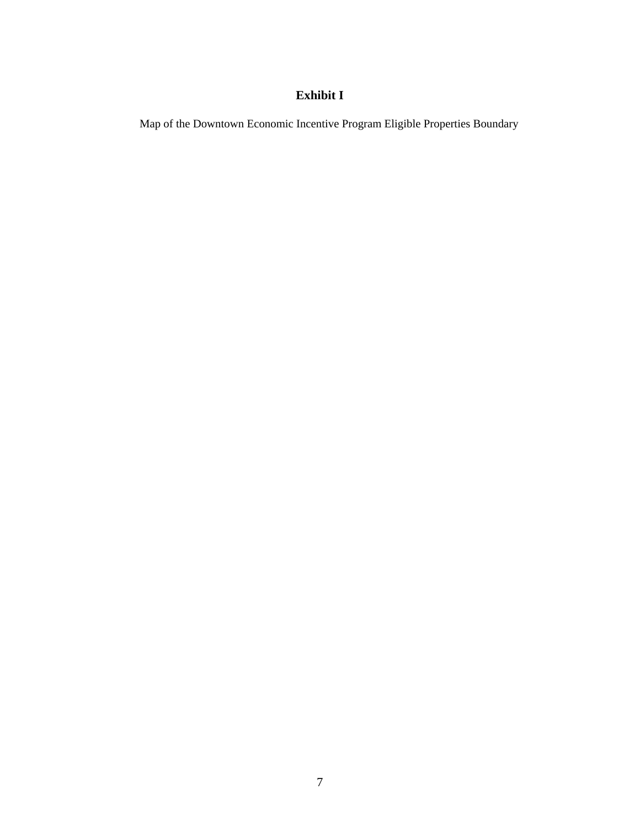## **Exhibit I**

Map of the Downtown Economic Incentive Program Eligible Properties Boundary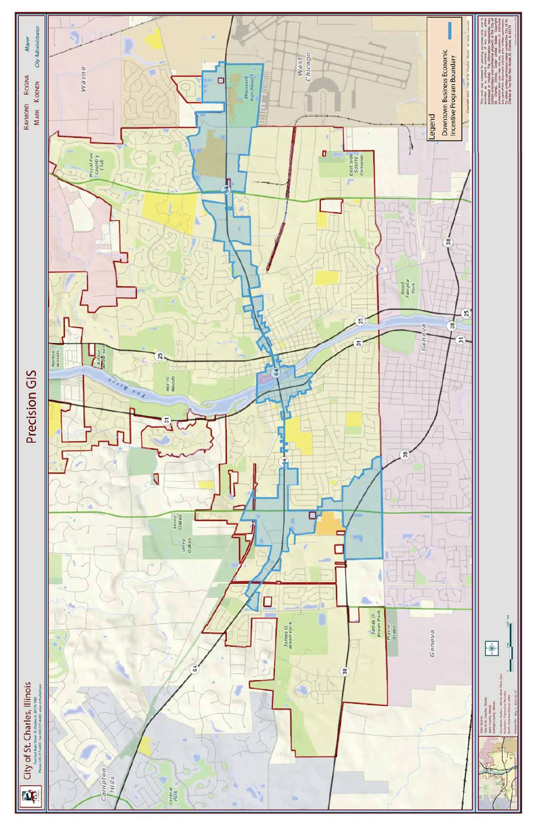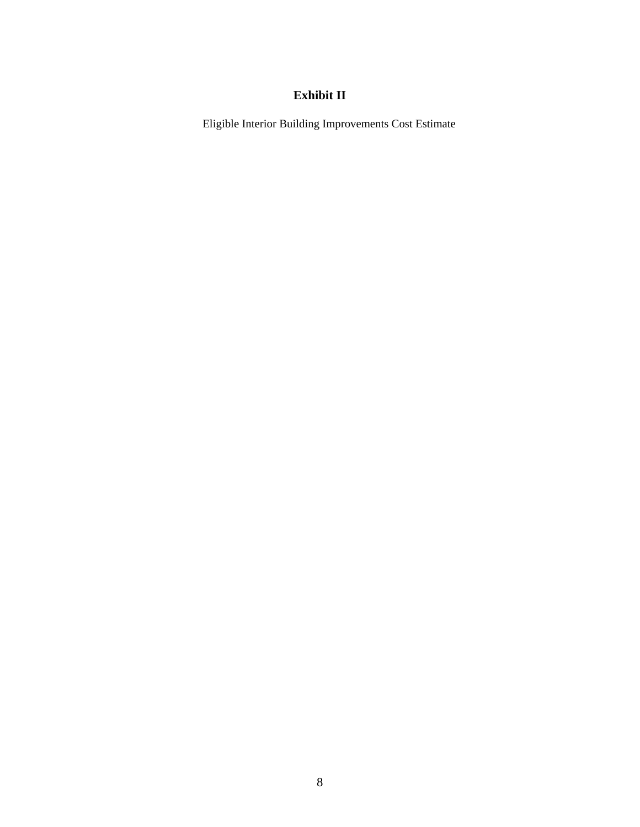## **Exhibit II**

Eligible Interior Building Improvements Cost Estimate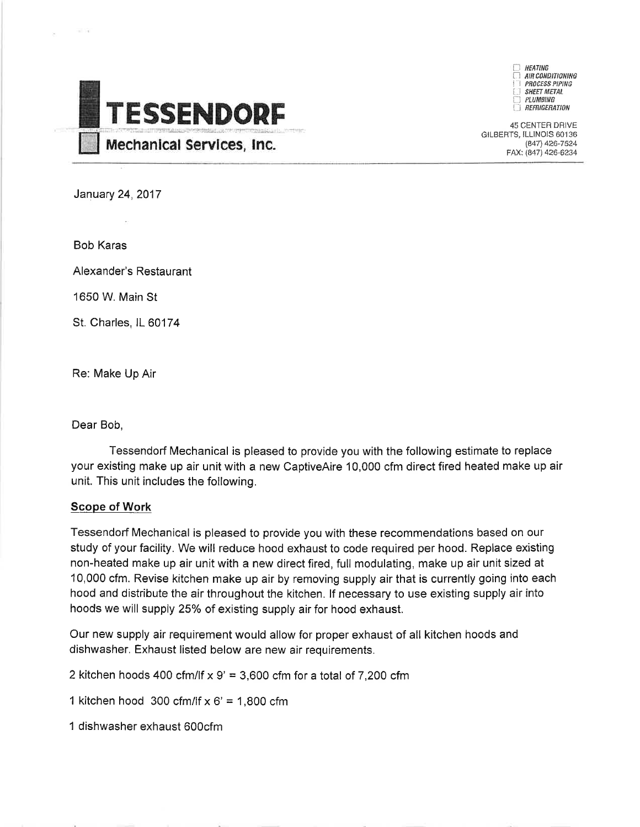

**HFATING** AIR CONDITIONING **PROCESS PIPING SHEET METAL** PLUMBING **REFRIGERATION** 

45 CENTER DRIVE GILBERTS, ILLINOIS 60136 (847) 426-7524 FAX: (847) 426-6234

**January 24, 2017** 

**Bob Karas** 

Alexander's Restaurant

1650 W. Main St

St. Charles, IL 60174

Re: Make Up Air

Dear Bob,

Tessendorf Mechanical is pleased to provide you with the following estimate to replace your existing make up air unit with a new CaptiveAire 10,000 cfm direct fired heated make up air unit. This unit includes the following.

## **Scope of Work**

Tessendorf Mechanical is pleased to provide you with these recommendations based on our study of your facility. We will reduce hood exhaust to code required per hood. Replace existing non-heated make up air unit with a new direct fired, full modulating, make up air unit sized at 10,000 cfm. Revise kitchen make up air by removing supply air that is currently going into each hood and distribute the air throughout the kitchen. If necessary to use existing supply air into hoods we will supply 25% of existing supply air for hood exhaust.

Our new supply air requirement would allow for proper exhaust of all kitchen hoods and dishwasher. Exhaust listed below are new air requirements.

2 kitchen hoods 400 cfm/lf  $x$  9' = 3,600 cfm for a total of 7,200 cfm

1 kitchen hood 300 cfm/lf  $x 6' = 1,800$  cfm

1 dishwasher exhaust 600cfm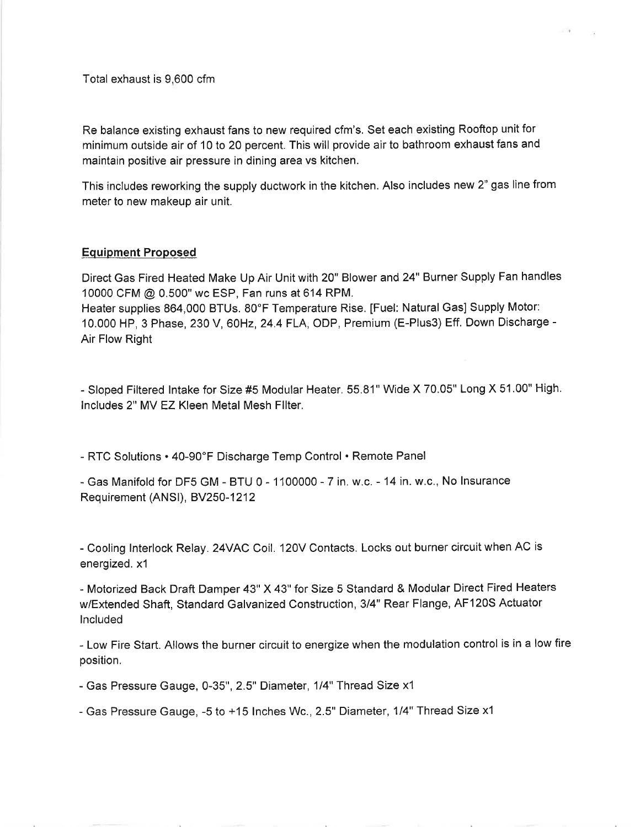Total exhaust is 9,600 cfm

Re balance existing exhaust fans to new required cfm's. Set each existing Rooftop unit for minimum outside air of 10 to 20 percent. This will provide air to bathroom exhaust fans and maintain positive air pressure in dining area vs kitchen.

This includes reworking the supply ductwork in the kitchen. Also includes new 2" gas line from meter to new makeup air unit.

## **Equipment Proposed**

Direct Gas Fired Heated Make Up Air Unit with 20" Blower and 24" Burner Supply Fan handles 10000 CFM @ 0.500" wc ESP, Fan runs at 614 RPM. Heater supplies 864,000 BTUs. 80°F Temperature Rise. [Fuel: Natural Gas] Supply Motor:

10.000 HP, 3 Phase, 230 V, 60Hz, 24.4 FLA, ODP, Premium (E-Plus3) Eff. Down Discharge -Air Flow Right

- Sloped Filtered Intake for Size #5 Modular Heater. 55.81" Wide X 70.05" Long X 51.00" High. Includes 2" MV EZ Kleen Metal Mesh Filter.

- RTC Solutions • 40-90°F Discharge Temp Control • Remote Panel

- Gas Manifold for DF5 GM - BTU 0 - 1100000 - 7 in. w.c. - 14 in. w.c., No Insurance Requirement (ANSI), BV250-1212

- Cooling Interlock Relay. 24VAC Coil. 120V Contacts. Locks out burner circuit when AC is energized. x1

- Motorized Back Draft Damper 43" X 43" for Size 5 Standard & Modular Direct Fired Heaters w/Extended Shaft, Standard Galvanized Construction, 3/4" Rear Flange, AF120S Actuator Included

- Low Fire Start. Allows the burner circuit to energize when the modulation control is in a low fire position.

- Gas Pressure Gauge, 0-35", 2.5" Diameter, 1/4" Thread Size x1

- Gas Pressure Gauge, -5 to +15 Inches Wc., 2.5" Diameter, 1/4" Thread Size x1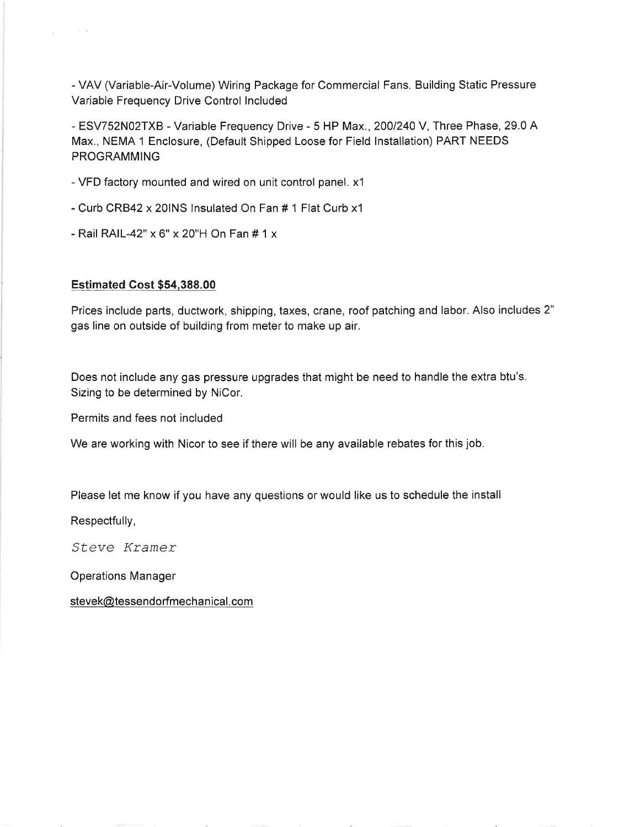- VAV (Variable-Air-Volume) Wiring Package for Commercial Fans. Building Static Pressure Variable Frequency Drive Control Included

- ESV752N02TXB - Variable Frequency Drive - 5 HP Max., 200/240 V, Three Phase, 29.0 A Max., NEMA 1 Enclosure, (Default Shipped Loose for Field Installation) PART NEEDS **PROGRAMMING** 

- VFD factory mounted and wired on unit control panel. x1
- Curb CRB42 x 20INS Insulated On Fan # 1 Flat Curb x1
- Rail RAIL-42" x 6" x 20"H On Fan # 1 x

#### **Estimated Cost \$54,388.00**

Prices include parts, ductwork, shipping, taxes, crane, roof patching and labor. Also includes 2" gas line on outside of building from meter to make up air.

Does not include any gas pressure upgrades that might be need to handle the extra btu's. Sizing to be determined by NiCor.

Permits and fees not included

We are working with Nicor to see if there will be any available rebates for this job.

Please let me know if you have any questions or would like us to schedule the install

Respectfully,

Steve Kramer

**Operations Manager** 

stevek@tessendorfmechanical.com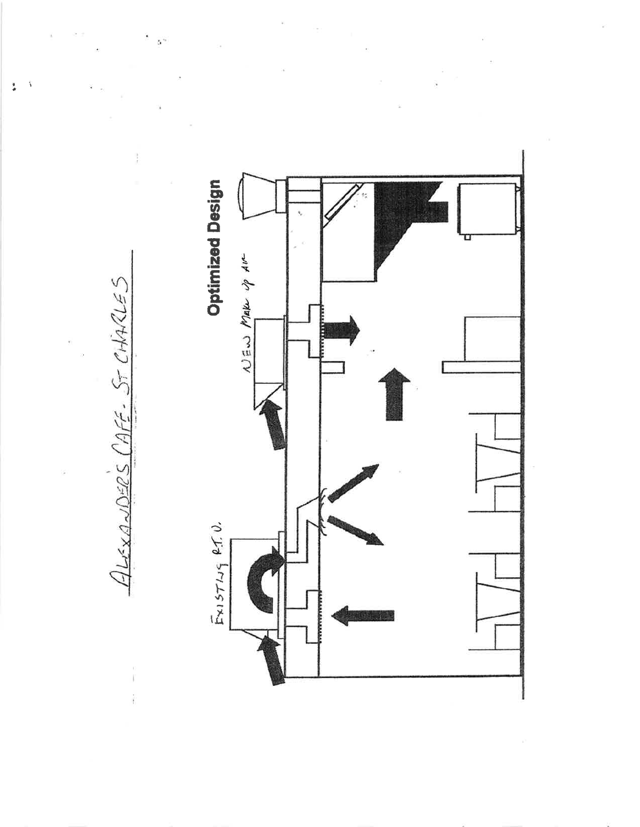**Optimized Design**  $\omega$ Ew Make  $\varphi$  Ave  $Enisriug$   $Pf.$ 

ALEXANDERS CAFE- ST CHARLES

ŧ,